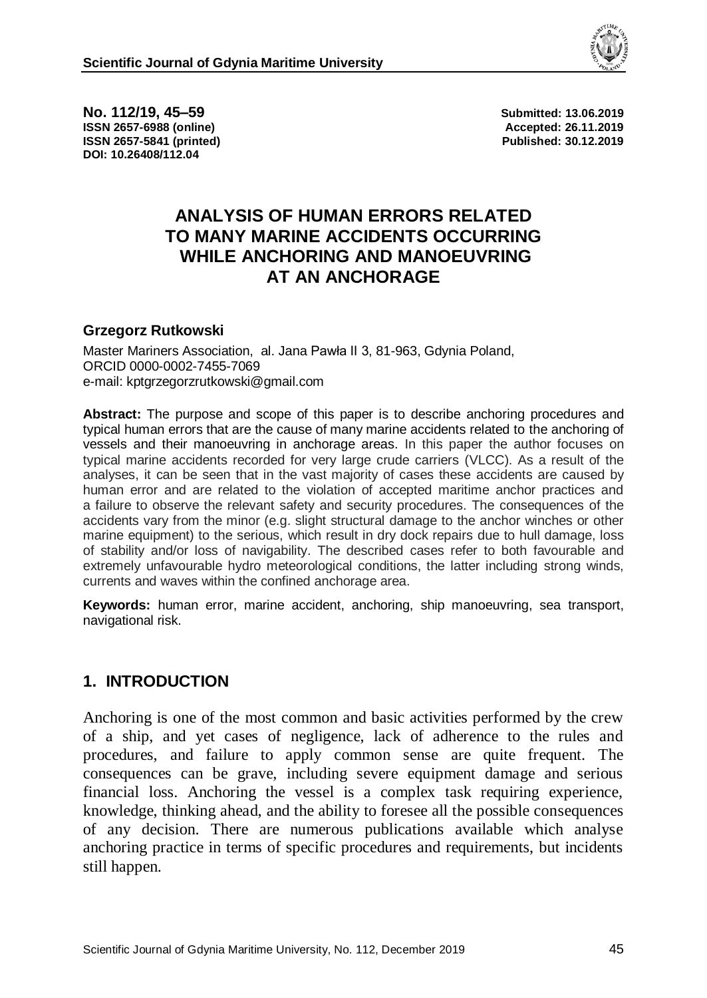

**No. 112/19, 45–59 Submitted: 13.06.2019 ISSN 2657-6988 (online) Accepted: 26.11.2019 ISSN 2657-5841 (printed) Published: 30.12.2019 DOI: 10.26408/112.04**

# **ANALYSIS OF HUMAN ERRORS RELATED TO MANY MARINE ACCIDENTS OCCURRING WHILE ANCHORING AND MANOEUVRING AT AN ANCHORAGE**

#### **Grzegorz Rutkowski**

Master Mariners Association, al. Jana Pawła II 3, 81-963, Gdynia Poland, ORCID 0000-0002-7455-7069 e-mail: kptgrzegorzrutkowski@gmail.com

**Abstract:** The purpose and scope of this paper is to describe anchoring procedures and typical human errors that are the cause of many marine accidents related to the anchoring of vessels and their manoeuvring in anchorage areas. In this paper the author focuses on typical marine accidents recorded for very large crude carriers (VLCC). As a result of the analyses, it can be seen that in the vast majority of cases these accidents are caused by human error and are related to the violation of accepted maritime anchor practices and a failure to observe the relevant safety and security procedures. The consequences of the accidents vary from the minor (e.g. slight structural damage to the anchor winches or other marine equipment) to the serious, which result in dry dock repairs due to hull damage, loss of stability and/or loss of navigability. The described cases refer to both favourable and extremely unfavourable hydro meteorological conditions, the latter including strong winds, currents and waves within the confined anchorage area.

**Keywords:** human error, marine accident, anchoring, ship manoeuvring, sea transport, navigational risk.

#### **1. INTRODUCTION**

Anchoring is one of the most common and basic activities performed by the crew of a ship, and yet cases of negligence, lack of adherence to the rules and procedures, and failure to apply common sense are quite frequent. The consequences can be grave, including severe equipment damage and serious financial loss. Anchoring the vessel is a complex task requiring experience, knowledge, thinking ahead, and the ability to foresee all the possible consequences of any decision. There are numerous publications available which analyse anchoring practice in terms of specific procedures and requirements, but incidents still happen.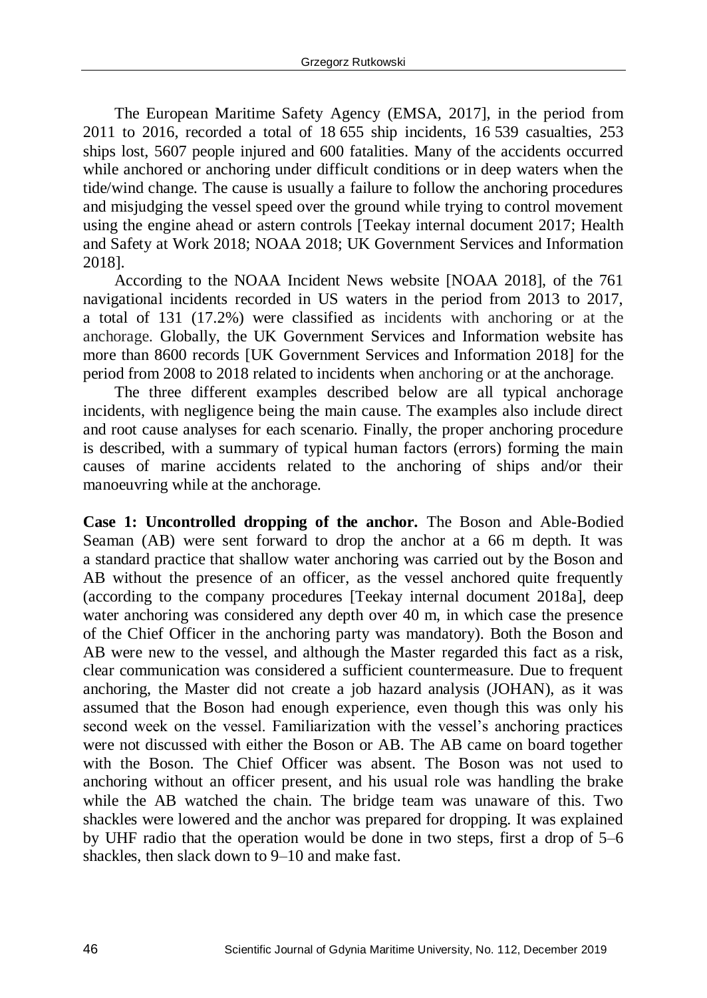The European Maritime Safety Agency (EMSA, 2017], in the period from 2011 to 2016, recorded a total of 18 655 ship incidents, 16 539 casualties, 253 ships lost, 5607 people injured and 600 fatalities. Many of the accidents occurred while anchored or anchoring under difficult conditions or in deep waters when the tide/wind change. The cause is usually a failure to follow the anchoring procedures and misjudging the vessel speed over the ground while trying to control movement using the engine ahead or astern controls [Teekay internal document 2017; Health and Safety at Work 2018; NOAA 2018; UK Government Services and Information 2018].

According to the NOAA Incident News website [NOAA 2018], of the 761 navigational incidents recorded in US waters in the period from 2013 to 2017, a total of 131 (17.2%) were classified as incidents with anchoring or at the anchorage. Globally, the UK Government Services and Information website has more than 8600 records [UK Government Services and Information 2018] for the period from 2008 to 2018 related to incidents when anchoring or at the anchorage.

The three different examples described below are all typical anchorage incidents, with negligence being the main cause. The examples also include direct and root cause analyses for each scenario. Finally, the proper anchoring procedure is described, with a summary of typical human factors (errors) forming the main causes of marine accidents related to the anchoring of ships and/or their manoeuvring while at the anchorage.

**Case 1: Uncontrolled dropping of the anchor.** The Boson and Able-Bodied Seaman (AB) were sent forward to drop the anchor at a 66 m depth. It was a standard practice that shallow water anchoring was carried out by the Boson and AB without the presence of an officer, as the vessel anchored quite frequently (according to the company procedures [Teekay internal document 2018a], deep water anchoring was considered any depth over 40 m, in which case the presence of the Chief Officer in the anchoring party was mandatory). Both the Boson and AB were new to the vessel, and although the Master regarded this fact as a risk, clear communication was considered a sufficient countermeasure. Due to frequent anchoring, the Master did not create a job hazard analysis (JOHAN), as it was assumed that the Boson had enough experience, even though this was only his second week on the vessel. Familiarization with the vessel's anchoring practices were not discussed with either the Boson or AB. The AB came on board together with the Boson. The Chief Officer was absent. The Boson was not used to anchoring without an officer present, and his usual role was handling the brake while the AB watched the chain. The bridge team was unaware of this. Two shackles were lowered and the anchor was prepared for dropping. It was explained by UHF radio that the operation would be done in two steps, first a drop of 5–6 shackles, then slack down to 9–10 and make fast.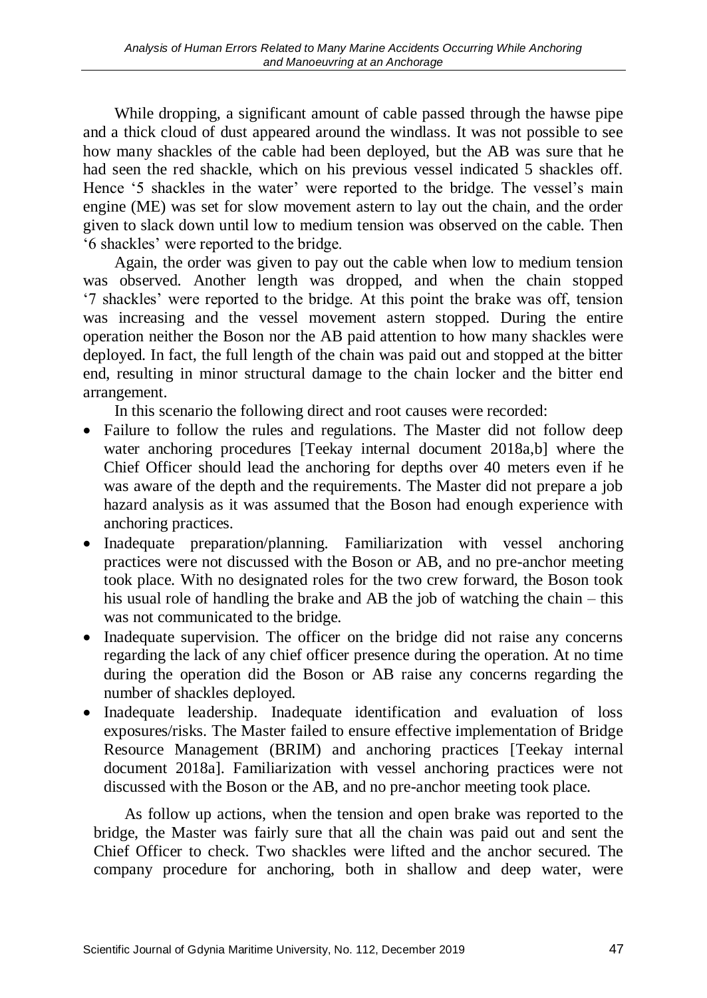While dropping, a significant amount of cable passed through the hawse pipe and a thick cloud of dust appeared around the windlass. It was not possible to see how many shackles of the cable had been deployed, but the AB was sure that he had seen the red shackle, which on his previous vessel indicated 5 shackles off. Hence '5 shackles in the water' were reported to the bridge. The vessel's main engine (ME) was set for slow movement astern to lay out the chain, and the order given to slack down until low to medium tension was observed on the cable. Then '6 shackles' were reported to the bridge.

Again, the order was given to pay out the cable when low to medium tension was observed. Another length was dropped, and when the chain stopped '7 shackles' were reported to the bridge. At this point the brake was off, tension was increasing and the vessel movement astern stopped. During the entire operation neither the Boson nor the AB paid attention to how many shackles were deployed. In fact, the full length of the chain was paid out and stopped at the bitter end, resulting in minor structural damage to the chain locker and the bitter end arrangement.

In this scenario the following direct and root causes were recorded:

- Failure to follow the rules and regulations. The Master did not follow deep water anchoring procedures [Teekay internal document 2018a,b] where the Chief Officer should lead the anchoring for depths over 40 meters even if he was aware of the depth and the requirements. The Master did not prepare a job hazard analysis as it was assumed that the Boson had enough experience with anchoring practices.
- Inadequate preparation/planning. Familiarization with vessel anchoring practices were not discussed with the Boson or AB, and no pre-anchor meeting took place. With no designated roles for the two crew forward, the Boson took his usual role of handling the brake and AB the job of watching the chain – this was not communicated to the bridge.
- Inadequate supervision. The officer on the bridge did not raise any concerns regarding the lack of any chief officer presence during the operation. At no time during the operation did the Boson or AB raise any concerns regarding the number of shackles deployed.
- Inadequate leadership. Inadequate identification and evaluation of loss exposures/risks. The Master failed to ensure effective implementation of Bridge Resource Management (BRIM) and anchoring practices [Teekay internal document 2018a]. Familiarization with vessel anchoring practices were not discussed with the Boson or the AB, and no pre-anchor meeting took place.

As follow up actions, when the tension and open brake was reported to the bridge, the Master was fairly sure that all the chain was paid out and sent the Chief Officer to check. Two shackles were lifted and the anchor secured. The company procedure for anchoring, both in shallow and deep water, were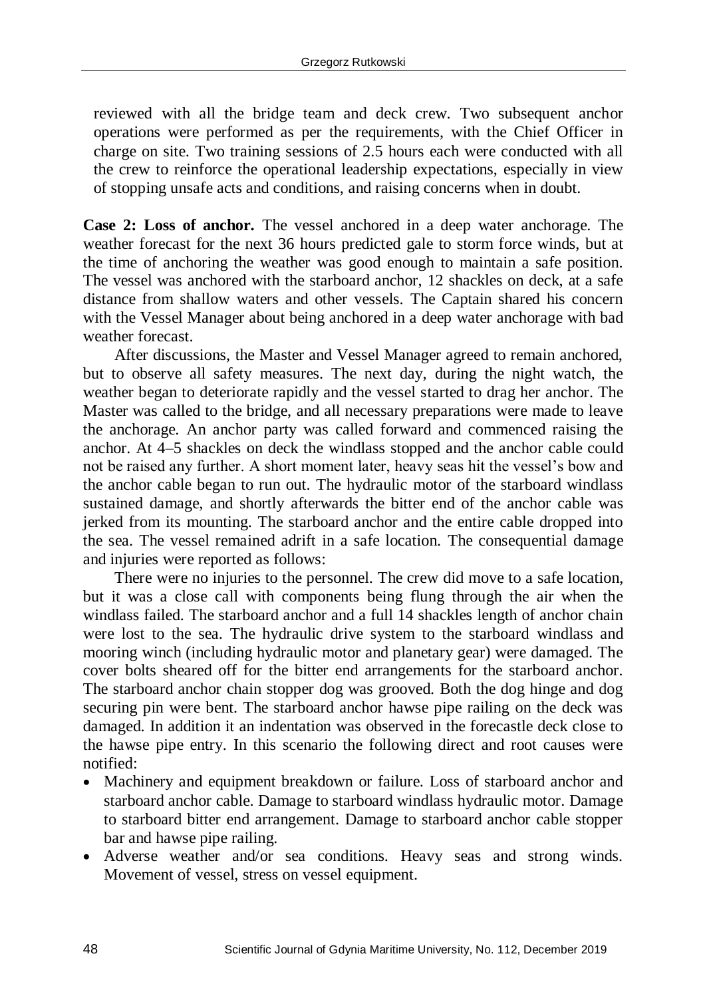reviewed with all the bridge team and deck crew. Two subsequent anchor operations were performed as per the requirements, with the Chief Officer in charge on site. Two training sessions of 2.5 hours each were conducted with all the crew to reinforce the operational leadership expectations, especially in view of stopping unsafe acts and conditions, and raising concerns when in doubt.

**Case 2: Loss of anchor.** The vessel anchored in a deep water anchorage. The weather forecast for the next 36 hours predicted gale to storm force winds, but at the time of anchoring the weather was good enough to maintain a safe position. The vessel was anchored with the starboard anchor, 12 shackles on deck, at a safe distance from shallow waters and other vessels. The Captain shared his concern with the Vessel Manager about being anchored in a deep water anchorage with bad weather forecast.

After discussions, the Master and Vessel Manager agreed to remain anchored, but to observe all safety measures. The next day, during the night watch, the weather began to deteriorate rapidly and the vessel started to drag her anchor. The Master was called to the bridge, and all necessary preparations were made to leave the anchorage. An anchor party was called forward and commenced raising the anchor. At 4–5 shackles on deck the windlass stopped and the anchor cable could not be raised any further. A short moment later, heavy seas hit the vessel's bow and the anchor cable began to run out. The hydraulic motor of the starboard windlass sustained damage, and shortly afterwards the bitter end of the anchor cable was jerked from its mounting. The starboard anchor and the entire cable dropped into the sea. The vessel remained adrift in a safe location. The consequential damage and injuries were reported as follows:

There were no injuries to the personnel. The crew did move to a safe location, but it was a close call with components being flung through the air when the windlass failed. The starboard anchor and a full 14 shackles length of anchor chain were lost to the sea. The hydraulic drive system to the starboard windlass and mooring winch (including hydraulic motor and planetary gear) were damaged. The cover bolts sheared off for the bitter end arrangements for the starboard anchor. The starboard anchor chain stopper dog was grooved. Both the dog hinge and dog securing pin were bent. The starboard anchor hawse pipe railing on the deck was damaged. In addition it an indentation was observed in the forecastle deck close to the hawse pipe entry. In this scenario the following direct and root causes were notified:

- Machinery and equipment breakdown or failure. Loss of starboard anchor and starboard anchor cable. Damage to starboard windlass hydraulic motor. Damage to starboard bitter end arrangement. Damage to starboard anchor cable stopper bar and hawse pipe railing.
- Adverse weather and/or sea conditions. Heavy seas and strong winds. Movement of vessel, stress on vessel equipment.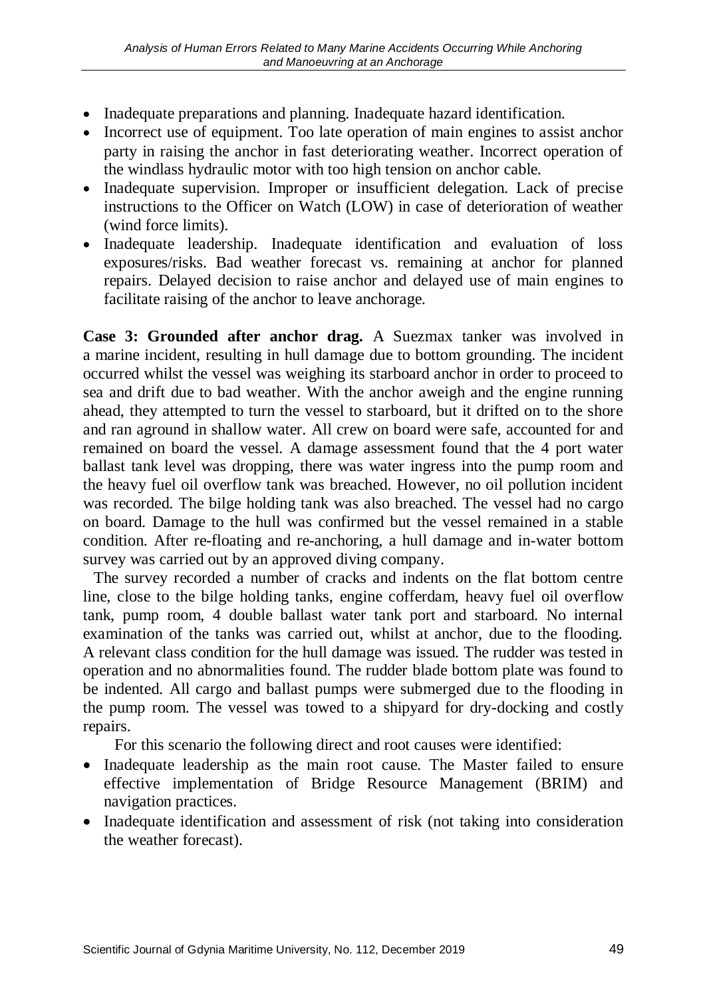- Inadequate preparations and planning. Inadequate hazard identification.
- Incorrect use of equipment. Too late operation of main engines to assist anchor party in raising the anchor in fast deteriorating weather. Incorrect operation of the windlass hydraulic motor with too high tension on anchor cable.
- Inadequate supervision. Improper or insufficient delegation. Lack of precise instructions to the Officer on Watch (LOW) in case of deterioration of weather (wind force limits).
- Inadequate leadership. Inadequate identification and evaluation of loss exposures/risks. Bad weather forecast vs. remaining at anchor for planned repairs. Delayed decision to raise anchor and delayed use of main engines to facilitate raising of the anchor to leave anchorage.

**Case 3: Grounded after anchor drag.** A Suezmax tanker was involved in a marine incident, resulting in hull damage due to bottom grounding. The incident occurred whilst the vessel was weighing its starboard anchor in order to proceed to sea and drift due to bad weather. With the anchor aweigh and the engine running ahead, they attempted to turn the vessel to starboard, but it drifted on to the shore and ran aground in shallow water. All crew on board were safe, accounted for and remained on board the vessel. A damage assessment found that the 4 port water ballast tank level was dropping, there was water ingress into the pump room and the heavy fuel oil overflow tank was breached. However, no oil pollution incident was recorded. The bilge holding tank was also breached. The vessel had no cargo on board. Damage to the hull was confirmed but the vessel remained in a stable condition. After re-floating and re-anchoring, a hull damage and in-water bottom survey was carried out by an approved diving company.

The survey recorded a number of cracks and indents on the flat bottom centre line, close to the bilge holding tanks, engine cofferdam, heavy fuel oil overflow tank, pump room, 4 double ballast water tank port and starboard. No internal examination of the tanks was carried out, whilst at anchor, due to the flooding. A relevant class condition for the hull damage was issued. The rudder was tested in operation and no abnormalities found. The rudder blade bottom plate was found to be indented. All cargo and ballast pumps were submerged due to the flooding in the pump room. The vessel was towed to a shipyard for dry-docking and costly repairs.

For this scenario the following direct and root causes were identified:

- Inadequate leadership as the main root cause. The Master failed to ensure effective implementation of Bridge Resource Management (BRIM) and navigation practices.
- Inadequate identification and assessment of risk (not taking into consideration the weather forecast).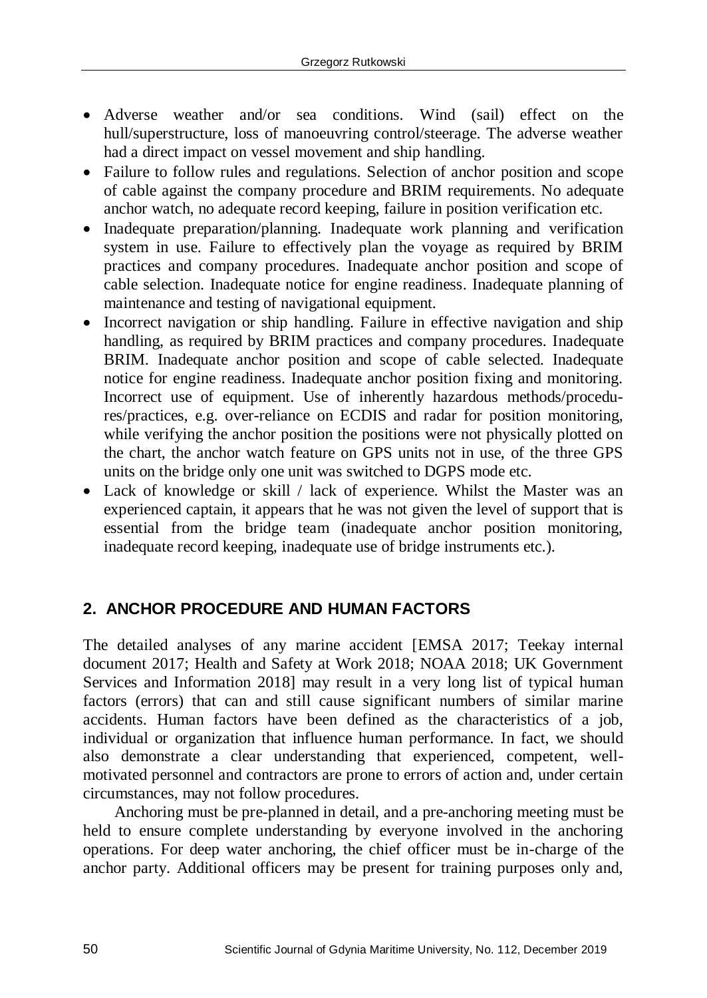- Adverse weather and/or sea conditions. Wind (sail) effect on the hull/superstructure, loss of manoeuvring control/steerage. The adverse weather had a direct impact on vessel movement and ship handling.
- Failure to follow rules and regulations. Selection of anchor position and scope of cable against the company procedure and BRIM requirements. No adequate anchor watch, no adequate record keeping, failure in position verification etc.
- Inadequate preparation/planning. Inadequate work planning and verification system in use. Failure to effectively plan the voyage as required by BRIM practices and company procedures. Inadequate anchor position and scope of cable selection. Inadequate notice for engine readiness. Inadequate planning of maintenance and testing of navigational equipment.
- Incorrect navigation or ship handling. Failure in effective navigation and ship handling, as required by BRIM practices and company procedures. Inadequate BRIM. Inadequate anchor position and scope of cable selected. Inadequate notice for engine readiness. Inadequate anchor position fixing and monitoring. Incorrect use of equipment. Use of inherently hazardous methods/procedures/practices, e.g. over-reliance on ECDIS and radar for position monitoring, while verifying the anchor position the positions were not physically plotted on the chart, the anchor watch feature on GPS units not in use, of the three GPS units on the bridge only one unit was switched to DGPS mode etc.
- Lack of knowledge or skill / lack of experience. Whilst the Master was an experienced captain, it appears that he was not given the level of support that is essential from the bridge team (inadequate anchor position monitoring, inadequate record keeping, inadequate use of bridge instruments etc.).

## **2. ANCHOR PROCEDURE AND HUMAN FACTORS**

The detailed analyses of any marine accident [EMSA 2017; Teekay internal document 2017; Health and Safety at Work 2018; NOAA 2018; UK Government Services and Information 2018] may result in a very long list of typical human factors (errors) that can and still cause significant numbers of similar marine accidents. Human factors have been defined as the characteristics of a job, individual or organization that influence human performance. In fact, we should also demonstrate a clear understanding that experienced, competent, wellmotivated personnel and contractors are prone to errors of action and, under certain circumstances, may not follow procedures.

Anchoring must be pre-planned in detail, and a pre-anchoring meeting must be held to ensure complete understanding by everyone involved in the anchoring operations. For deep water anchoring, the chief officer must be in-charge of the anchor party. Additional officers may be present for training purposes only and,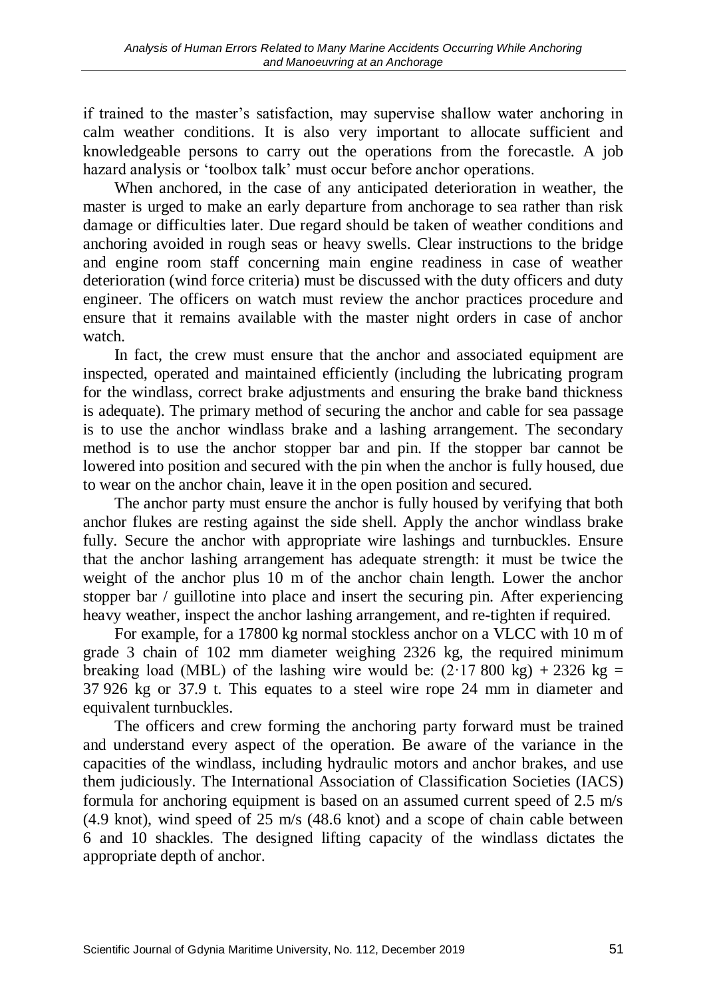if trained to the master's satisfaction, may supervise shallow water anchoring in calm weather conditions. It is also very important to allocate sufficient and knowledgeable persons to carry out the operations from the forecastle. A job hazard analysis or 'toolbox talk' must occur before anchor operations.

When anchored, in the case of any anticipated deterioration in weather, the master is urged to make an early departure from anchorage to sea rather than risk damage or difficulties later. Due regard should be taken of weather conditions and anchoring avoided in rough seas or heavy swells. Clear instructions to the bridge and engine room staff concerning main engine readiness in case of weather deterioration (wind force criteria) must be discussed with the duty officers and duty engineer. The officers on watch must review the anchor practices procedure and ensure that it remains available with the master night orders in case of anchor watch.

In fact, the crew must ensure that the anchor and associated equipment are inspected, operated and maintained efficiently (including the lubricating program for the windlass, correct brake adjustments and ensuring the brake band thickness is adequate). The primary method of securing the anchor and cable for sea passage is to use the anchor windlass brake and a lashing arrangement. The secondary method is to use the anchor stopper bar and pin. If the stopper bar cannot be lowered into position and secured with the pin when the anchor is fully housed, due to wear on the anchor chain, leave it in the open position and secured.

The anchor party must ensure the anchor is fully housed by verifying that both anchor flukes are resting against the side shell. Apply the anchor windlass brake fully. Secure the anchor with appropriate wire lashings and turnbuckles. Ensure that the anchor lashing arrangement has adequate strength: it must be twice the weight of the anchor plus 10 m of the anchor chain length. Lower the anchor stopper bar / guillotine into place and insert the securing pin. After experiencing heavy weather, inspect the anchor lashing arrangement, and re-tighten if required.

For example, for a 17800 kg normal stockless anchor on a VLCC with 10 m of grade 3 chain of 102 mm diameter weighing 2326 kg, the required minimum breaking load (MBL) of the lashing wire would be:  $(2.17800 \text{ kg}) + 2326 \text{ kg} =$ 37 926 kg or 37.9 t. This equates to a steel wire rope 24 mm in diameter and equivalent turnbuckles.

The officers and crew forming the anchoring party forward must be trained and understand every aspect of the operation. Be aware of the variance in the capacities of the windlass, including hydraulic motors and anchor brakes, and use them judiciously. The International Association of Classification Societies (IACS) formula for anchoring equipment is based on an assumed current speed of 2.5 m/s (4.9 knot), wind speed of 25 m/s (48.6 knot) and a scope of chain cable between 6 and 10 shackles. The designed lifting capacity of the windlass dictates the appropriate depth of anchor.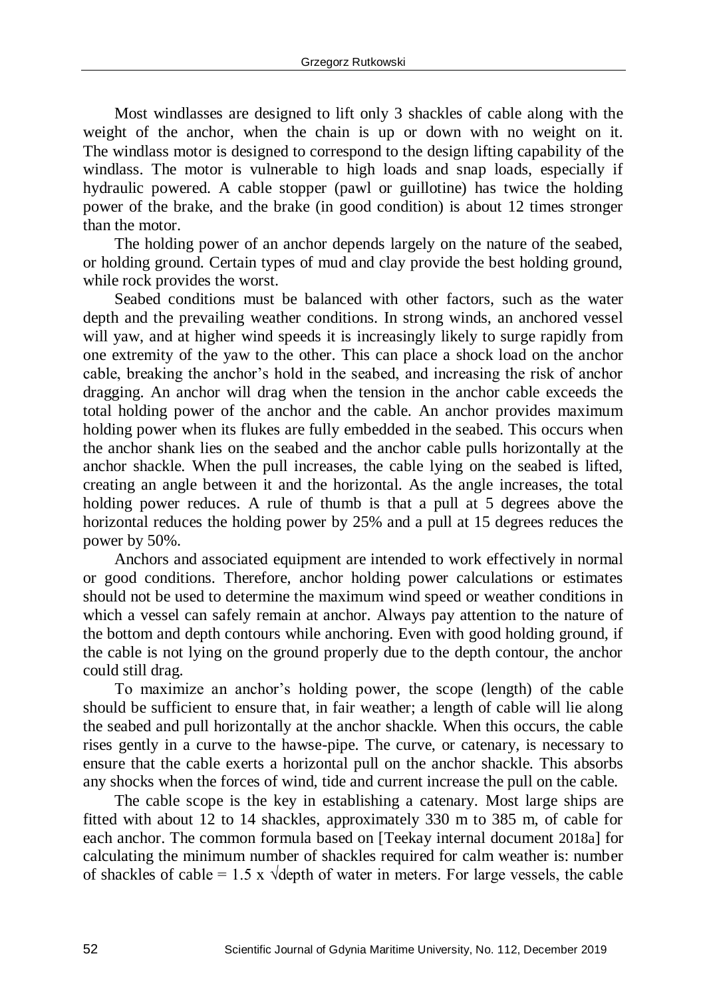Most windlasses are designed to lift only 3 shackles of cable along with the weight of the anchor, when the chain is up or down with no weight on it. The windlass motor is designed to correspond to the design lifting capability of the windlass. The motor is vulnerable to high loads and snap loads, especially if hydraulic powered. A cable stopper (pawl or guillotine) has twice the holding power of the brake, and the brake (in good condition) is about 12 times stronger than the motor.

The holding power of an anchor depends largely on the nature of the seabed, or holding ground. Certain types of mud and clay provide the best holding ground, while rock provides the worst.

Seabed conditions must be balanced with other factors, such as the water depth and the prevailing weather conditions. In strong winds, an anchored vessel will yaw, and at higher wind speeds it is increasingly likely to surge rapidly from one extremity of the yaw to the other. This can place a shock load on the anchor cable, breaking the anchor's hold in the seabed, and increasing the risk of anchor dragging. An anchor will drag when the tension in the anchor cable exceeds the total holding power of the anchor and the cable. An anchor provides maximum holding power when its flukes are fully embedded in the seabed. This occurs when the anchor shank lies on the seabed and the anchor cable pulls horizontally at the anchor shackle. When the pull increases, the cable lying on the seabed is lifted, creating an angle between it and the horizontal. As the angle increases, the total holding power reduces. A rule of thumb is that a pull at 5 degrees above the horizontal reduces the holding power by 25% and a pull at 15 degrees reduces the power by 50%.

Anchors and associated equipment are intended to work effectively in normal or good conditions. Therefore, anchor holding power calculations or estimates should not be used to determine the maximum wind speed or weather conditions in which a vessel can safely remain at anchor. Always pay attention to the nature of the bottom and depth contours while anchoring. Even with good holding ground, if the cable is not lying on the ground properly due to the depth contour, the anchor could still drag.

To maximize an anchor's holding power, the scope (length) of the cable should be sufficient to ensure that, in fair weather; a length of cable will lie along the seabed and pull horizontally at the anchor shackle. When this occurs, the cable rises gently in a curve to the hawse-pipe. The curve, or catenary, is necessary to ensure that the cable exerts a horizontal pull on the anchor shackle. This absorbs any shocks when the forces of wind, tide and current increase the pull on the cable.

The cable scope is the key in establishing a catenary. Most large ships are fitted with about 12 to 14 shackles, approximately 330 m to 385 m, of cable for each anchor. The common formula based on [Teekay internal document 2018a] for calculating the minimum number of shackles required for calm weather is: number of shackles of cable = 1.5 x  $\sqrt{\frac{2}{\pi}}$  of water in meters. For large vessels, the cable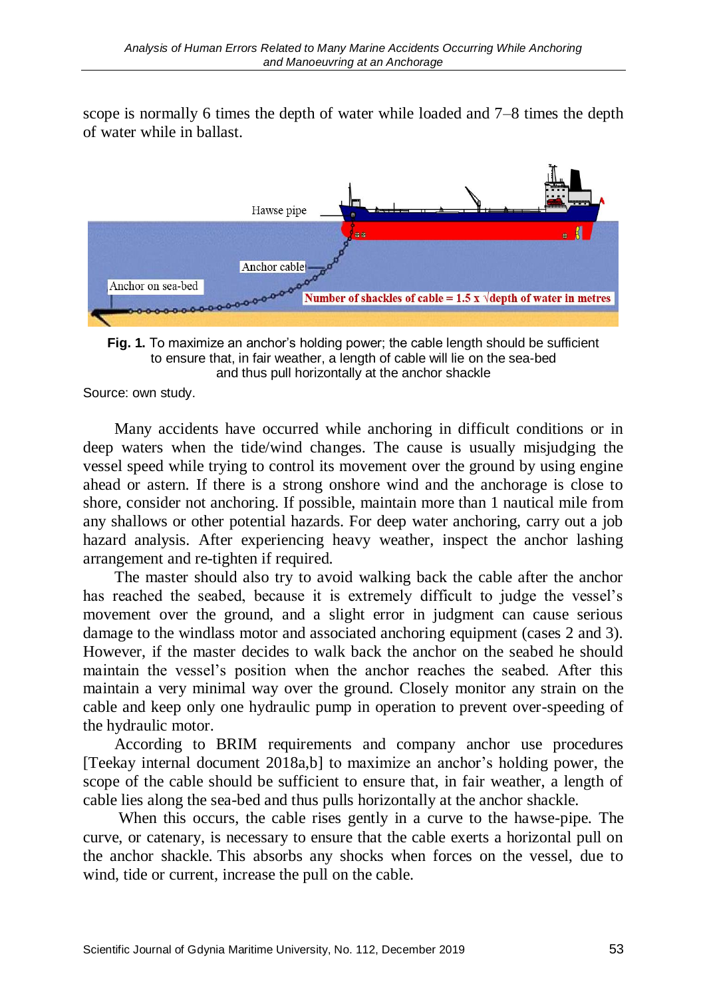scope is normally 6 times the depth of water while loaded and 7–8 times the depth of water while in ballast.



**Fig. 1.** To maximize an anchor's holding power; the cable length should be sufficient to ensure that, in fair weather, a length of cable will lie on the sea-bed and thus pull horizontally at the anchor shackle

Source: own study.

Many accidents have occurred while anchoring in difficult conditions or in deep waters when the tide/wind changes. The cause is usually misjudging the vessel speed while trying to control its movement over the ground by using engine ahead or astern. If there is a strong onshore wind and the anchorage is close to shore, consider not anchoring. If possible, maintain more than 1 nautical mile from any shallows or other potential hazards. For deep water anchoring, carry out a job hazard analysis. After experiencing heavy weather, inspect the anchor lashing arrangement and re-tighten if required.

The master should also try to avoid walking back the cable after the anchor has reached the seabed, because it is extremely difficult to judge the vessel's movement over the ground, and a slight error in judgment can cause serious damage to the windlass motor and associated anchoring equipment (cases 2 and 3). However, if the master decides to walk back the anchor on the seabed he should maintain the vessel's position when the anchor reaches the seabed. After this maintain a very minimal way over the ground. Closely monitor any strain on the cable and keep only one hydraulic pump in operation to prevent over-speeding of the hydraulic motor.

According to BRIM requirements and company anchor use procedures [Teekay internal document 2018a,b] to maximize an anchor's holding power, the scope of the cable should be sufficient to ensure that, in fair weather, a length of cable lies along the sea-bed and thus pulls horizontally at the anchor shackle.

When this occurs, the cable rises gently in a curve to the hawse-pipe. The curve, or catenary, is necessary to ensure that the cable exerts a horizontal pull on the anchor shackle. This absorbs any shocks when forces on the vessel, due to wind, tide or current, increase the pull on the cable.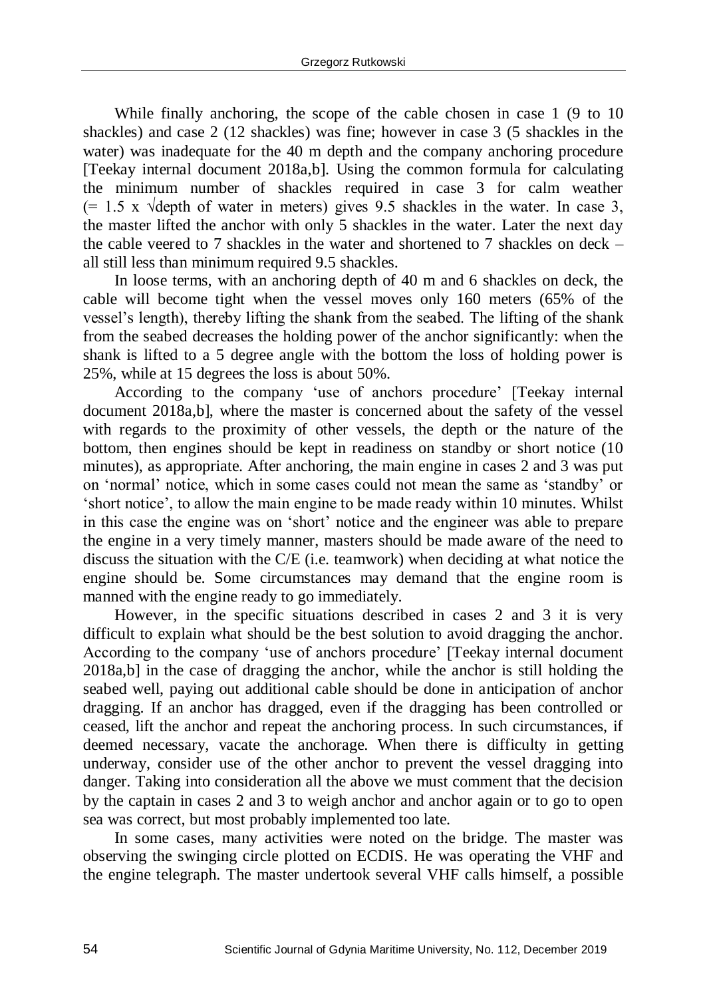While finally anchoring, the scope of the cable chosen in case 1 (9 to 10 shackles) and case 2 (12 shackles) was fine; however in case 3 (5 shackles in the water) was inadequate for the 40 m depth and the company anchoring procedure [Teekay internal document 2018a,b]. Using the common formula for calculating the minimum number of shackles required in case 3 for calm weather  $(= 1.5 \times \text{Vdepth of water in meters})$  gives 9.5 shackles in the water. In case 3, the master lifted the anchor with only 5 shackles in the water. Later the next day the cable veered to 7 shackles in the water and shortened to 7 shackles on deck – all still less than minimum required 9.5 shackles.

In loose terms, with an anchoring depth of 40 m and 6 shackles on deck, the cable will become tight when the vessel moves only 160 meters (65% of the vessel's length), thereby lifting the shank from the seabed. The lifting of the shank from the seabed decreases the holding power of the anchor significantly: when the shank is lifted to a 5 degree angle with the bottom the loss of holding power is 25%, while at 15 degrees the loss is about 50%.

According to the company 'use of anchors procedure' [Teekay internal document 2018a,b], where the master is concerned about the safety of the vessel with regards to the proximity of other vessels, the depth or the nature of the bottom, then engines should be kept in readiness on standby or short notice (10 minutes), as appropriate. After anchoring, the main engine in cases 2 and 3 was put on 'normal' notice, which in some cases could not mean the same as 'standby' or 'short notice', to allow the main engine to be made ready within 10 minutes. Whilst in this case the engine was on 'short' notice and the engineer was able to prepare the engine in a very timely manner, masters should be made aware of the need to discuss the situation with the C/E (i.e. teamwork) when deciding at what notice the engine should be. Some circumstances may demand that the engine room is manned with the engine ready to go immediately.

However, in the specific situations described in cases 2 and 3 it is very difficult to explain what should be the best solution to avoid dragging the anchor. According to the company 'use of anchors procedure' [Teekay internal document 2018a,b] in the case of dragging the anchor, while the anchor is still holding the seabed well, paying out additional cable should be done in anticipation of anchor dragging. If an anchor has dragged, even if the dragging has been controlled or ceased, lift the anchor and repeat the anchoring process. In such circumstances, if deemed necessary, vacate the anchorage. When there is difficulty in getting underway, consider use of the other anchor to prevent the vessel dragging into danger. Taking into consideration all the above we must comment that the decision by the captain in cases 2 and 3 to weigh anchor and anchor again or to go to open sea was correct, but most probably implemented too late.

In some cases, many activities were noted on the bridge. The master was observing the swinging circle plotted on ECDIS. He was operating the VHF and the engine telegraph. The master undertook several VHF calls himself, a possible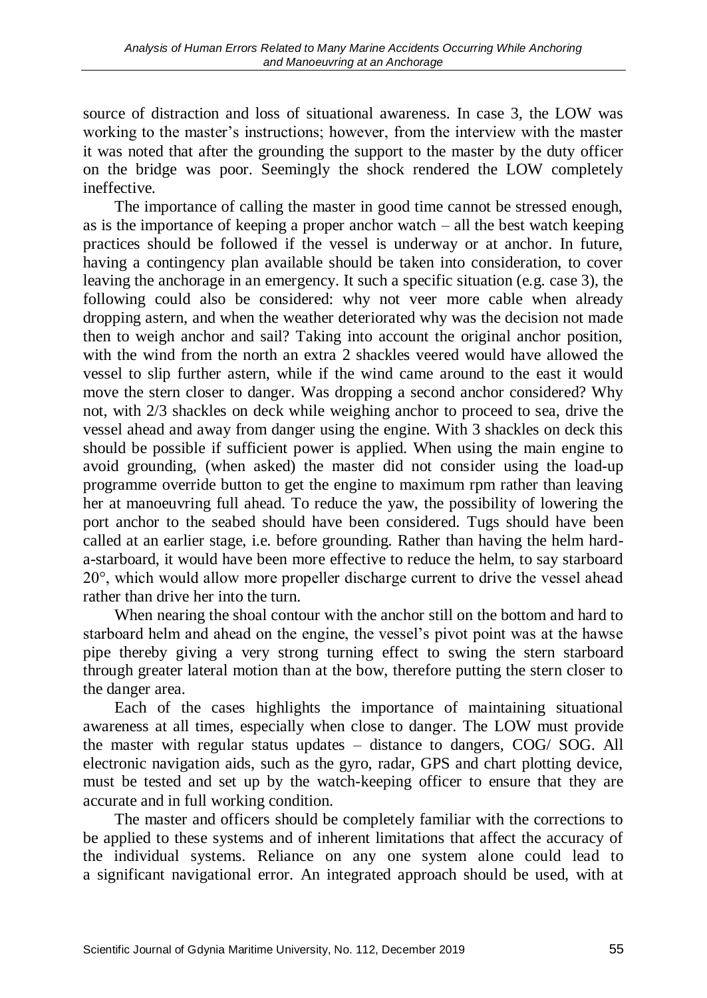source of distraction and loss of situational awareness. In case 3, the LOW was working to the master's instructions; however, from the interview with the master it was noted that after the grounding the support to the master by the duty officer on the bridge was poor. Seemingly the shock rendered the LOW completely ineffective.

The importance of calling the master in good time cannot be stressed enough, as is the importance of keeping a proper anchor watch  $-$  all the best watch keeping practices should be followed if the vessel is underway or at anchor. In future, having a contingency plan available should be taken into consideration, to cover leaving the anchorage in an emergency. It such a specific situation (e.g. case 3), the following could also be considered: why not veer more cable when already dropping astern, and when the weather deteriorated why was the decision not made then to weigh anchor and sail? Taking into account the original anchor position, with the wind from the north an extra 2 shackles veered would have allowed the vessel to slip further astern, while if the wind came around to the east it would move the stern closer to danger. Was dropping a second anchor considered? Why not, with 2/3 shackles on deck while weighing anchor to proceed to sea, drive the vessel ahead and away from danger using the engine. With 3 shackles on deck this should be possible if sufficient power is applied. When using the main engine to avoid grounding, (when asked) the master did not consider using the load-up programme override button to get the engine to maximum rpm rather than leaving her at manoeuvring full ahead. To reduce the yaw, the possibility of lowering the port anchor to the seabed should have been considered. Tugs should have been called at an earlier stage, i.e. before grounding. Rather than having the helm harda-starboard, it would have been more effective to reduce the helm, to say starboard 20°, which would allow more propeller discharge current to drive the vessel ahead rather than drive her into the turn.

When nearing the shoal contour with the anchor still on the bottom and hard to starboard helm and ahead on the engine, the vessel's pivot point was at the hawse pipe thereby giving a very strong turning effect to swing the stern starboard through greater lateral motion than at the bow, therefore putting the stern closer to the danger area.

Each of the cases highlights the importance of maintaining situational awareness at all times, especially when close to danger. The LOW must provide the master with regular status updates – distance to dangers, COG/ SOG. All electronic navigation aids, such as the gyro, radar, GPS and chart plotting device, must be tested and set up by the watch-keeping officer to ensure that they are accurate and in full working condition.

The master and officers should be completely familiar with the corrections to be applied to these systems and of inherent limitations that affect the accuracy of the individual systems. Reliance on any one system alone could lead to a significant navigational error. An integrated approach should be used, with at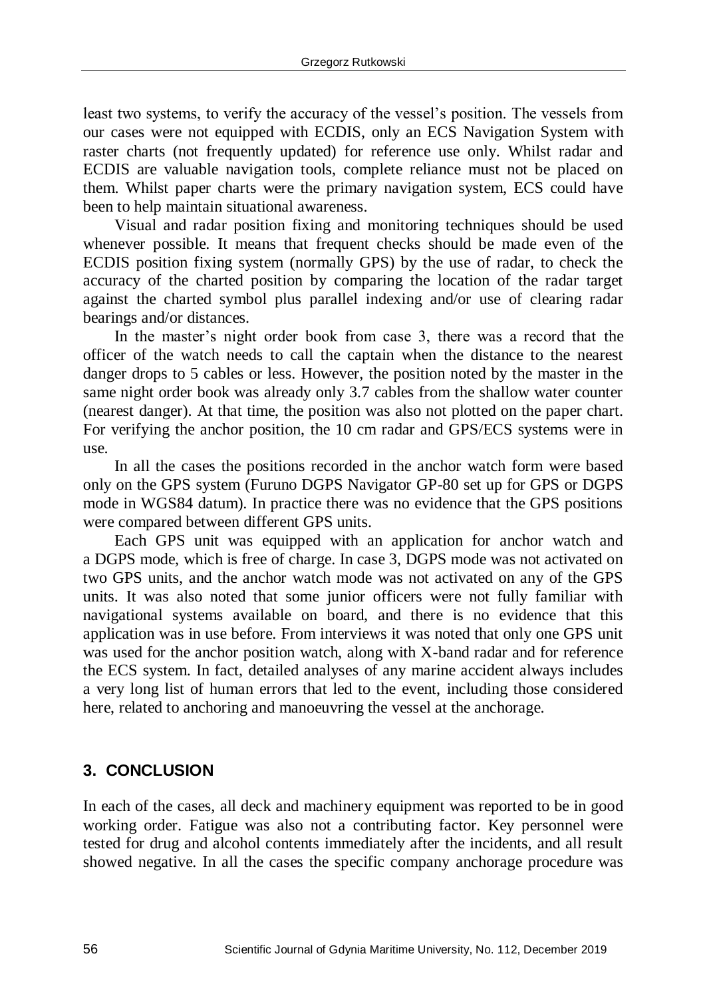least two systems, to verify the accuracy of the vessel's position. The vessels from our cases were not equipped with ECDIS, only an ECS Navigation System with raster charts (not frequently updated) for reference use only. Whilst radar and ECDIS are valuable navigation tools, complete reliance must not be placed on them. Whilst paper charts were the primary navigation system, ECS could have been to help maintain situational awareness.

Visual and radar position fixing and monitoring techniques should be used whenever possible. It means that frequent checks should be made even of the ECDIS position fixing system (normally GPS) by the use of radar, to check the accuracy of the charted position by comparing the location of the radar target against the charted symbol plus parallel indexing and/or use of clearing radar bearings and/or distances.

In the master's night order book from case 3, there was a record that the officer of the watch needs to call the captain when the distance to the nearest danger drops to 5 cables or less. However, the position noted by the master in the same night order book was already only 3.7 cables from the shallow water counter (nearest danger). At that time, the position was also not plotted on the paper chart. For verifying the anchor position, the 10 cm radar and GPS/ECS systems were in use.

In all the cases the positions recorded in the anchor watch form were based only on the GPS system (Furuno DGPS Navigator GP-80 set up for GPS or DGPS mode in WGS84 datum). In practice there was no evidence that the GPS positions were compared between different GPS units.

Each GPS unit was equipped with an application for anchor watch and a DGPS mode, which is free of charge. In case 3, DGPS mode was not activated on two GPS units, and the anchor watch mode was not activated on any of the GPS units. It was also noted that some junior officers were not fully familiar with navigational systems available on board, and there is no evidence that this application was in use before. From interviews it was noted that only one GPS unit was used for the anchor position watch, along with X-band radar and for reference the ECS system. In fact, detailed analyses of any marine accident always includes a very long list of human errors that led to the event, including those considered here, related to anchoring and manoeuvring the vessel at the anchorage.

## **3. CONCLUSION**

In each of the cases, all deck and machinery equipment was reported to be in good working order. Fatigue was also not a contributing factor. Key personnel were tested for drug and alcohol contents immediately after the incidents, and all result showed negative. In all the cases the specific company anchorage procedure was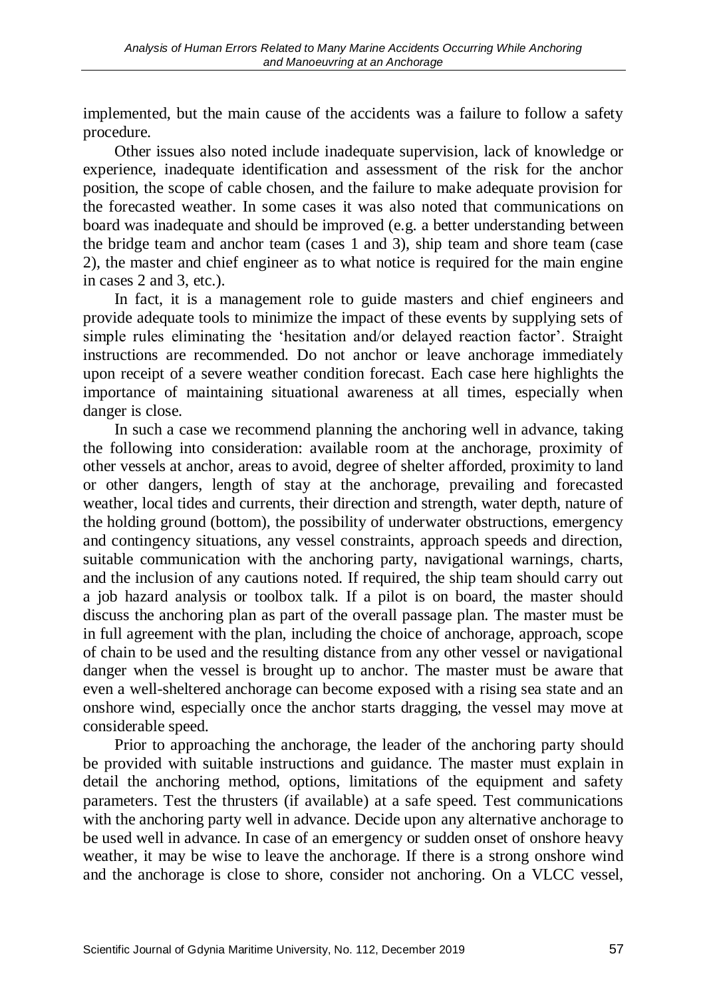implemented, but the main cause of the accidents was a failure to follow a safety procedure.

Other issues also noted include inadequate supervision, lack of knowledge or experience, inadequate identification and assessment of the risk for the anchor position, the scope of cable chosen, and the failure to make adequate provision for the forecasted weather. In some cases it was also noted that communications on board was inadequate and should be improved (e.g. a better understanding between the bridge team and anchor team (cases 1 and 3), ship team and shore team (case 2), the master and chief engineer as to what notice is required for the main engine in cases 2 and 3, etc.).

In fact, it is a management role to guide masters and chief engineers and provide adequate tools to minimize the impact of these events by supplying sets of simple rules eliminating the 'hesitation and/or delayed reaction factor'. Straight instructions are recommended. Do not anchor or leave anchorage immediately upon receipt of a severe weather condition forecast. Each case here highlights the importance of maintaining situational awareness at all times, especially when danger is close.

In such a case we recommend planning the anchoring well in advance, taking the following into consideration: available room at the anchorage, proximity of other vessels at anchor, areas to avoid, degree of shelter afforded, proximity to land or other dangers, length of stay at the anchorage, prevailing and forecasted weather, local tides and currents, their direction and strength, water depth, nature of the holding ground (bottom), the possibility of underwater obstructions, emergency and contingency situations, any vessel constraints, approach speeds and direction, suitable communication with the anchoring party, navigational warnings, charts, and the inclusion of any cautions noted. If required, the ship team should carry out a job hazard analysis or toolbox talk. If a pilot is on board, the master should discuss the anchoring plan as part of the overall passage plan. The master must be in full agreement with the plan, including the choice of anchorage, approach, scope of chain to be used and the resulting distance from any other vessel or navigational danger when the vessel is brought up to anchor. The master must be aware that even a well-sheltered anchorage can become exposed with a rising sea state and an onshore wind, especially once the anchor starts dragging, the vessel may move at considerable speed.

Prior to approaching the anchorage, the leader of the anchoring party should be provided with suitable instructions and guidance. The master must explain in detail the anchoring method, options, limitations of the equipment and safety parameters. Test the thrusters (if available) at a safe speed. Test communications with the anchoring party well in advance. Decide upon any alternative anchorage to be used well in advance. In case of an emergency or sudden onset of onshore heavy weather, it may be wise to leave the anchorage. If there is a strong onshore wind and the anchorage is close to shore, consider not anchoring. On a VLCC vessel,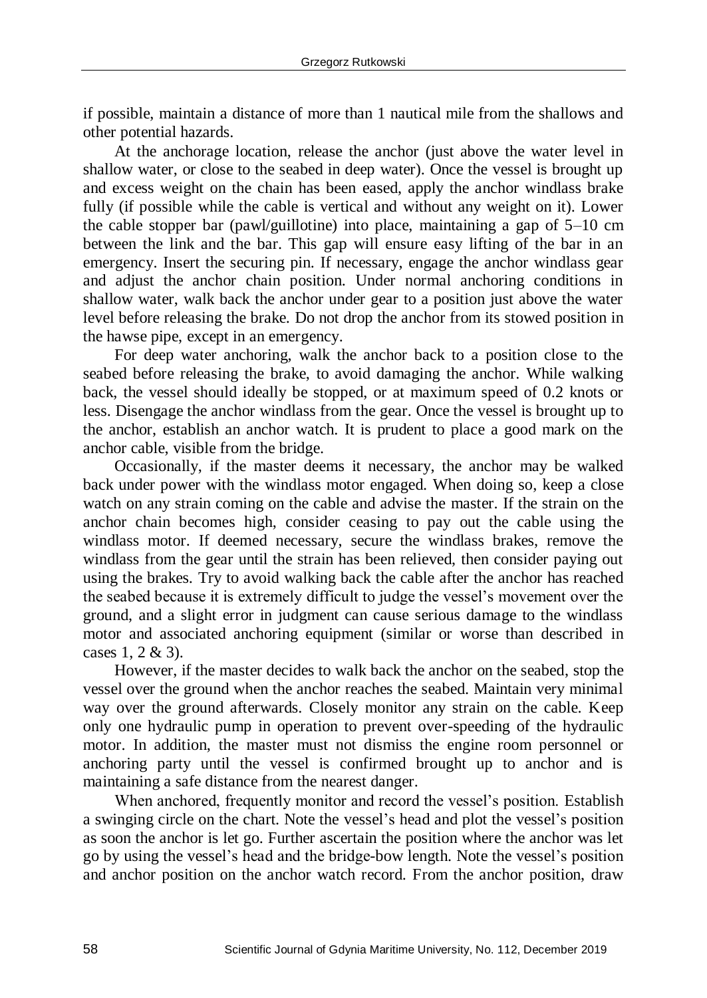if possible, maintain a distance of more than 1 nautical mile from the shallows and other potential hazards.

At the anchorage location, release the anchor (just above the water level in shallow water, or close to the seabed in deep water). Once the vessel is brought up and excess weight on the chain has been eased, apply the anchor windlass brake fully (if possible while the cable is vertical and without any weight on it). Lower the cable stopper bar (pawl/guillotine) into place, maintaining a gap of 5–10 cm between the link and the bar. This gap will ensure easy lifting of the bar in an emergency. Insert the securing pin. If necessary, engage the anchor windlass gear and adjust the anchor chain position. Under normal anchoring conditions in shallow water, walk back the anchor under gear to a position just above the water level before releasing the brake. Do not drop the anchor from its stowed position in the hawse pipe, except in an emergency.

For deep water anchoring, walk the anchor back to a position close to the seabed before releasing the brake, to avoid damaging the anchor. While walking back, the vessel should ideally be stopped, or at maximum speed of 0.2 knots or less. Disengage the anchor windlass from the gear. Once the vessel is brought up to the anchor, establish an anchor watch. It is prudent to place a good mark on the anchor cable, visible from the bridge.

Occasionally, if the master deems it necessary, the anchor may be walked back under power with the windlass motor engaged. When doing so, keep a close watch on any strain coming on the cable and advise the master. If the strain on the anchor chain becomes high, consider ceasing to pay out the cable using the windlass motor. If deemed necessary, secure the windlass brakes, remove the windlass from the gear until the strain has been relieved, then consider paying out using the brakes. Try to avoid walking back the cable after the anchor has reached the seabed because it is extremely difficult to judge the vessel's movement over the ground, and a slight error in judgment can cause serious damage to the windlass motor and associated anchoring equipment (similar or worse than described in cases 1, 2 & 3).

However, if the master decides to walk back the anchor on the seabed, stop the vessel over the ground when the anchor reaches the seabed. Maintain very minimal way over the ground afterwards. Closely monitor any strain on the cable. Keep only one hydraulic pump in operation to prevent over-speeding of the hydraulic motor. In addition, the master must not dismiss the engine room personnel or anchoring party until the vessel is confirmed brought up to anchor and is maintaining a safe distance from the nearest danger.

When anchored, frequently monitor and record the vessel's position. Establish a swinging circle on the chart. Note the vessel's head and plot the vessel's position as soon the anchor is let go. Further ascertain the position where the anchor was let go by using the vessel's head and the bridge-bow length. Note the vessel's position and anchor position on the anchor watch record. From the anchor position, draw